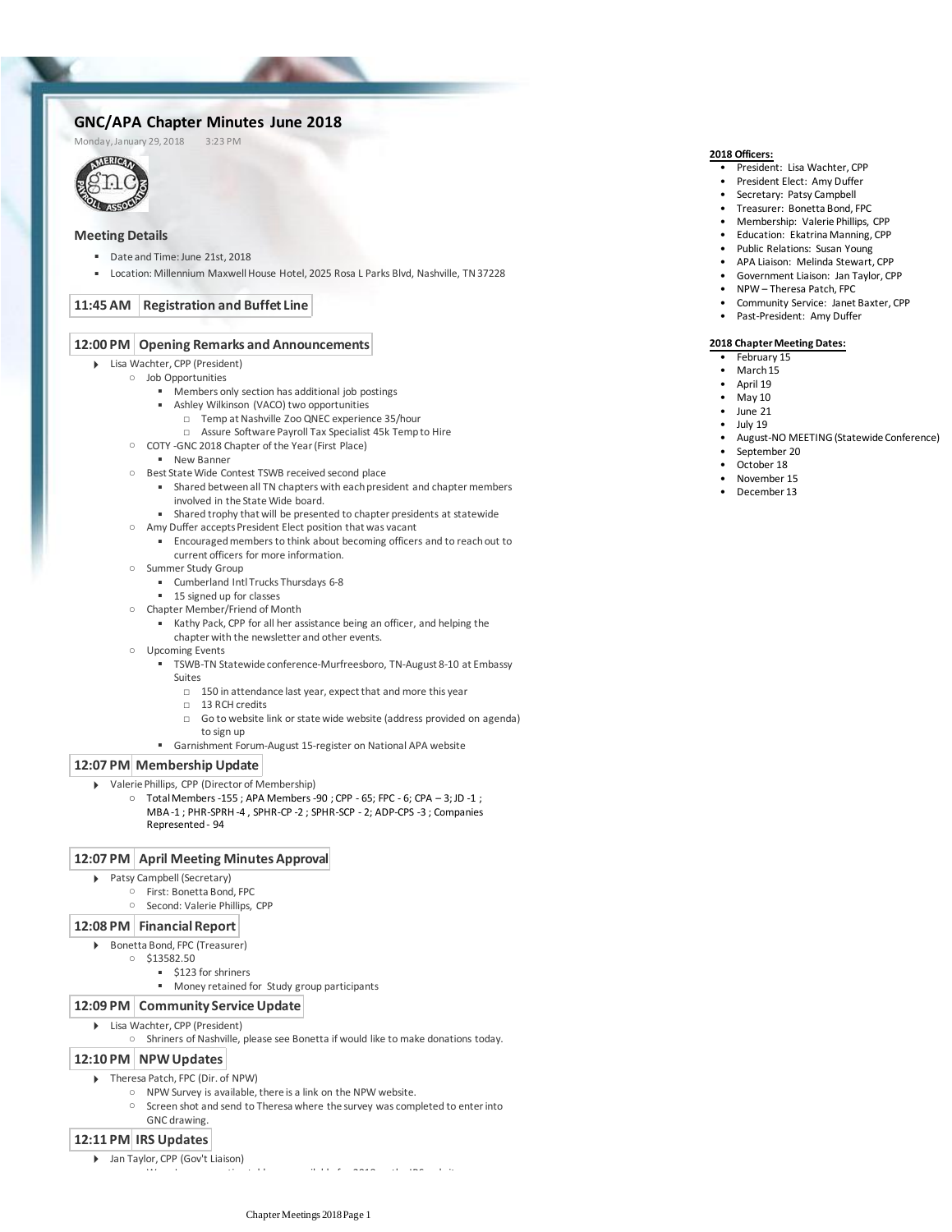# **GNC/APA Chapter Minutes June 2018**<br>Monday.January 29.2018 3:23 PM

Monday, January 29, 2018



# **Meeting Details**

- Date and Time: June 21st, 2018
- Location: Millennium Maxwell House Hotel, 2025 Rosa L Parks Blvd, Nashville, TN 37228

# **11:45 AM Registration and Buffet Line**

#### **12:00 PM Opening Remarks and Announcements**

- Lisa Wachter, CPP (President)
- Job Opportunities
	- Members only section has additional job postings
	- Ashley Wilkinson (VACO) two opportunities
		- □ Temp at Nashville Zoo QNEC experience 35/hour
		- □ Assure Software Payroll Tax Specialist 45k Temp to Hire
	- COTY -GNC 2018 Chapter of the Year (First Place)
		- New Banner
	- Best State Wide Contest TSWB received second place
		- Shared between all TN chapters with each president and chapter members involved in the State Wide board.
		- Shared trophy that will be presented to chapter presidents at statewide
	- Amy Duffer accepts President Elect position that was vacant
		- Encouraged members to think about becoming officers and to reach out to current officers for more information.
	- Summer Study Group
		- Cumberland Intl Trucks Thursdays 6-8
		- 15 signed up for classes
	- Chapter Member/Friend of Month
		- Kathy Pack, CPP for all her assistance being an officer, and helping the chapter with the newsletter and other events.
	- Upcoming Events
		- TSWB-TN Statewide conference-Murfreesboro, TN-August 8-10 at Embassy Suites
			- □ 150 in attendance last year, expect that and more this year
			- □ 13 RCH credits
			- □ Go to website link or state wide website (address provided on agenda) to sign up
		- Garnishment Forum-August 15-register on National APA website

#### **12:07 PM Membership Update**

- Valerie Phillips, CPP (Director of Membership)
	- $\circ$  Total Members -155; APA Members -90; CPP 65; FPC 6; CPA  $-$  3; JD -1; MBA -1 ; PHR-SPRH -4 , SPHR-CP -2 ; SPHR-SCP - 2; ADP-CPS -3 ; Companies Represented - 94

#### **12:07 PM April Meeting Minutes Approval**

- Patsy Campbell (Secretary)
	- First: Bonetta Bond, FPC
		- Second: Valerie Phillips, CPP

## **12:08 PM Financial Report**

- Bonetta Bond, FPC (Treasurer)
	- $0$  \$13582.50
		- \$123 for shriners
			- Money retained for Study group participants

#### **12:09 PM Community Service Update**

- Lisa Wachter, CPP (President)
	- Shriners of Nashville, please see Bonetta if would like to make donations today.

## **12:10 PM NPW Updates**

- ▶ Theresa Patch, FPC (Dir. of NPW)
	- NPW Survey is available, there is a link on the NPW website.
		- Screen shot and send to Theresa where the survey was completed to enter into GNC drawing.

## **12:11 PM IRS Updates**

Jan Taylor, CPP (Gov't Liaison)

○ Wage Levy exemption tables are available for 2018 on the IRS website

# **2018 Officers:**

- President: Lisa Wachter, CPP
- President Elect: Amy Duffer
- Secretary: Patsy Campbell
- Treasurer: Bonetta Bond, FPC
- Membership: Valerie Phillips, CPP
- Education: Ekatrina Manning, CPP
- Public Relations: Susan Young
- APA Liaison: Melinda Stewart, CPP
- Government Liaison: Jan Taylor, CPP
- NPW Theresa Patch, FPC
- Community Service: Janet Baxter, CPP
- Past-President: Amy Duffer
- 

#### **2018 Chapter Meeting Dates:**

- February 15
- March 15
- April 19
- May 10
- June 21
- $\bullet$  July 19
- August-NO MEETING (Statewide Conference)
- September 20
- October 18
- November 15
- December 13